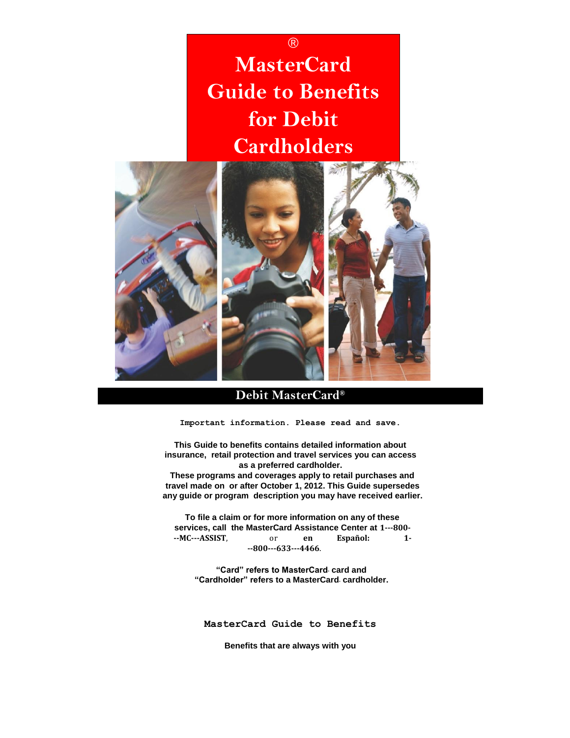# ® **MasterCard Guide to Benefits for Debit Cardholders**



# **Debit MasterCard®**

**Important information. Please read and save.** 

**This Guide to benefits contains detailed information about insurance, retail protection and travel services you can access as a preferred cardholder.** 

**These programs and coverages apply to retail purchases and travel made on or after October 1, 2012. This Guide supersedes any guide or program description you may have received earlier.** 

**To file a claim or for more information on any of these services, call the MasterCard Assistance Center at 1-800- MC-ASSIST**, or **en Español: 1- 800-633-4466**.

**"Card" refers to MasterCard® card and "Cardholder" refers to a MasterCard® cardholder.** 

**MasterCard Guide to Benefits** 

**Benefits that are always with you**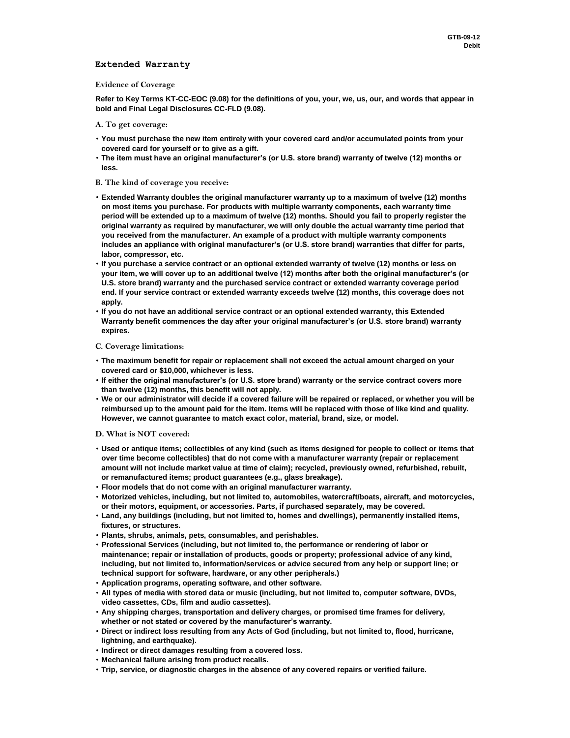# **Extended Warranty**

#### **Evidence of Coverage**

**Refer to Key Terms KT-CC-EOC (9.08) for the definitions of you, your, we, us, our, and words that appear in bold and Final Legal Disclosures CC-FLD (9.08).** 

#### **A. To get coverage:**

- **You must purchase the new item entirely with your covered card and/or accumulated points from your covered card for yourself or to give as a gift.**
- **The item must have an original manufacturer's (or U.S. store brand) warranty of twelve (12) months or less.**

### **B. The kind of coverage you receive:**

- **Extended Warranty doubles the original manufacturer warranty up to a maximum of twelve (12) months on most items you purchase. For products with multiple warranty components, each warranty time period will be extended up to a maximum of twelve (12) months. Should you fail to properly register the original warranty as required by manufacturer, we will only double the actual warranty time period that you received from the manufacturer. An example of a product with multiple warranty components includes an appliance with original manufacturer's (or U.S. store brand) warranties that differ for parts, labor, compressor, etc.**
- **If you purchase a service contract or an optional extended warranty of twelve (12) months or less on your item, we will cover up to an additional twelve (12) months after both the original manufacturer's (or U.S. store brand) warranty and the purchased service contract or extended warranty coverage period end. If your service contract or extended warranty exceeds twelve (12) months, this coverage does not apply.**
- **If you do not have an additional service contract or an optional extended warranty, this Extended Warranty benefit commences the day after your original manufacturer's (or U.S. store brand) warranty expires.**

#### **C. Coverage limitations:**

- **The maximum benefit for repair or replacement shall not exceed the actual amount charged on your covered card or \$10,000, whichever is less.**
- **If either the original manufacturer's (or U.S. store brand) warranty or the service contract covers more than twelve (12) months, this benefit will not apply.**
- **We or our administrator will decide if a covered failure will be repaired or replaced, or whether you will be reimbursed up to the amount paid for the item. Items will be replaced with those of like kind and quality. However, we cannot guarantee to match exact color, material, brand, size, or model.**

#### **D. What is NOT covered:**

- **Used or antique items; collectibles of any kind (such as items designed for people to collect or items that over time become collectibles) that do not come with a manufacturer warranty (repair or replacement amount will not include market value at time of claim); recycled, previously owned, refurbished, rebuilt, or remanufactured items; product guarantees (e.g., glass breakage).**
- **Floor models that do not come with an original manufacturer warranty.**
- **Motorized vehicles, including, but not limited to, automobiles, watercraft/boats, aircraft, and motorcycles, or their motors, equipment, or accessories. Parts, if purchased separately, may be covered.**
- **Land, any buildings (including, but not limited to, homes and dwellings), permanently installed items, fixtures, or structures.**
- **Plants, shrubs, animals, pets, consumables, and perishables.**
- **Professional Services (including, but not limited to, the performance or rendering of labor or maintenance; repair or installation of products, goods or property; professional advice of any kind, including, but not limited to, information/services or advice secured from any help or support line; or technical support for software, hardware, or any other peripherals.)**
- **Application programs, operating software, and other software.**
- **All types of media with stored data or music (including, but not limited to, computer software, DVDs, video cassettes, CDs, film and audio cassettes).**
- **Any shipping charges, transportation and delivery charges, or promised time frames for delivery, whether or not stated or covered by the manufacturer's warranty.**
- **Direct or indirect loss resulting from any Acts of God (including, but not limited to, flood, hurricane, lightning, and earthquake).**
- **Indirect or direct damages resulting from a covered loss.**
- **Mechanical failure arising from product recalls.**
- **Trip, service, or diagnostic charges in the absence of any covered repairs or verified failure.**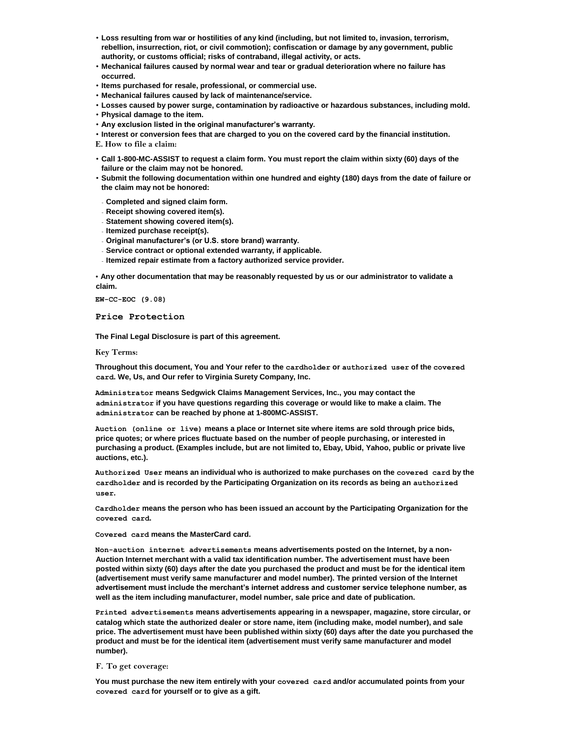- **Loss resulting from war or hostilities of any kind (including, but not limited to, invasion, terrorism, rebellion, insurrection, riot, or civil commotion); confiscation or damage by any government, public authority, or customs official; risks of contraband, illegal activity, or acts.**
- **Mechanical failures caused by normal wear and tear or gradual deterioration where no failure has occurred.**
- **Items purchased for resale, professional, or commercial use.**
- **Mechanical failures caused by lack of maintenance/service.**
- **Losses caused by power surge, contamination by radioactive or hazardous substances, including mold.**
- **Physical damage to the item.**
- **Any exclusion listed in the original manufacturer's warranty.**
- **Interest or conversion fees that are charged to you on the covered card by the financial institution.**
- **E. How to file a claim:**
- **Call 1-800-MC-ASSIST to request a claim form. You must report the claim within sixty (60) days of the failure or the claim may not be honored.**
- **Submit the following documentation within one hundred and eighty (180) days from the date of failure or the claim may not be honored:**
- **Completed and signed claim form.**
- **Receipt showing covered item(s).**
- **Statement showing covered item(s).**
- **Itemized purchase receipt(s).**
- **Original manufacturer's (or U.S. store brand) warranty.**
- **Service contract or optional extended warranty, if applicable.**
- **Itemized repair estimate from a factory authorized service provider.**

• **Any other documentation that may be reasonably requested by us or our administrator to validate a claim.** 

**EW-CC-EOC (9.08)** 

**Price Protection** 

**The Final Legal Disclosure is part of this agreement.** 

**Key Terms:** 

**Throughout this document, You and Your refer to the cardholder or authorized user of the covered card. We, Us, and Our refer to Virginia Surety Company, Inc.** 

**Administrator means Sedgwick Claims Management Services, Inc., you may contact the administrator if you have questions regarding this coverage or would like to make a claim. The administrator can be reached by phone at 1-800MC-ASSIST.** 

**Auction (online or live) means a place or Internet site where items are sold through price bids, price quotes; or where prices fluctuate based on the number of people purchasing, or interested in purchasing a product. (Examples include, but are not limited to, Ebay, Ubid, Yahoo, public or private live auctions, etc.).** 

**Authorized User means an individual who is authorized to make purchases on the covered card by the cardholder and is recorded by the Participating Organization on its records as being an authorized user.** 

**Cardholder means the person who has been issued an account by the Participating Organization for the covered card.** 

**Covered card means the MasterCard card.** 

**Non-auction internet advertisements means advertisements posted on the Internet, by a non-Auction Internet merchant with a valid tax identification number. The advertisement must have been posted within sixty (60) days after the date you purchased the product and must be for the identical item (advertisement must verify same manufacturer and model number). The printed version of the Internet advertisement must include the merchant's internet address and customer service telephone number, as well as the item including manufacturer, model number, sale price and date of publication.** 

**Printed advertisements means advertisements appearing in a newspaper, magazine, store circular, or catalog which state the authorized dealer or store name, item (including make, model number), and sale price. The advertisement must have been published within sixty (60) days after the date you purchased the product and must be for the identical item (advertisement must verify same manufacturer and model number).** 

# **F. To get coverage:**

**You must purchase the new item entirely with your covered card and/or accumulated points from your covered card for yourself or to give as a gift.**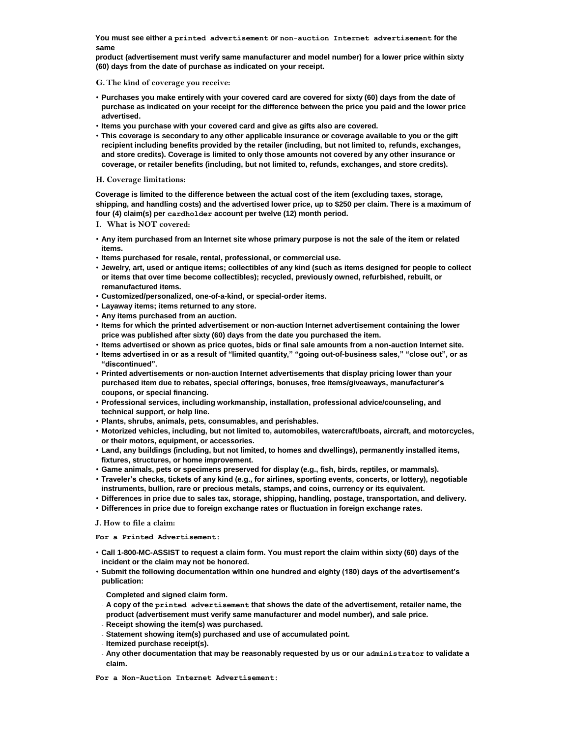**You must see either a printed advertisement or non-auction Internet advertisement for the same** 

**product (advertisement must verify same manufacturer and model number) for a lower price within sixty (60) days from the date of purchase as indicated on your receipt.** 

**G. The kind of coverage you receive:** 

- **Purchases you make entirely with your covered card are covered for sixty (60) days from the date of purchase as indicated on your receipt for the difference between the price you paid and the lower price advertised.**
- **Items you purchase with your covered card and give as gifts also are covered.**
- **This coverage is secondary to any other applicable insurance or coverage available to you or the gift recipient including benefits provided by the retailer (including, but not limited to, refunds, exchanges, and store credits). Coverage is limited to only those amounts not covered by any other insurance or coverage, or retailer benefits (including, but not limited to, refunds, exchanges, and store credits).**

## **H. Coverage limitations:**

**Coverage is limited to the difference between the actual cost of the item (excluding taxes, storage, shipping, and handling costs) and the advertised lower price, up to \$250 per claim. There is a maximum of four (4) claim(s) per cardholder account per twelve (12) month period.** 

- **I. What is NOT covered:**
- **Any item purchased from an Internet site whose primary purpose is not the sale of the item or related items.**
- **Items purchased for resale, rental, professional, or commercial use.**
- **Jewelry, art, used or antique items; collectibles of any kind (such as items designed for people to collect or items that over time become collectibles); recycled, previously owned, refurbished, rebuilt, or remanufactured items.**
- **Customized/personalized, one-of-a-kind, or special-order items.**
- **Layaway items; items returned to any store.**
- **Any items purchased from an auction.**
- **Items for which the printed advertisement or non-auction Internet advertisement containing the lower price was published after sixty (60) days from the date you purchased the item.**
- **Items advertised or shown as price quotes, bids or final sale amounts from a non-auction Internet site.**
- **Items advertised in or as a result of "limited quantity," "going out-of-business sales," "close out", or as "discontinued".**
- **Printed advertisements or non-auction Internet advertisements that display pricing lower than your purchased item due to rebates, special offerings, bonuses, free items/giveaways, manufacturer's coupons, or special financing.**
- **Professional services, including workmanship, installation, professional advice/counseling, and technical support, or help line.**
- **Plants, shrubs, animals, pets, consumables, and perishables.**
- **Motorized vehicles, including, but not limited to, automobiles, watercraft/boats, aircraft, and motorcycles, or their motors, equipment, or accessories.**
- **Land, any buildings (including, but not limited, to homes and dwellings), permanently installed items, fixtures, structures, or home improvement.**
- **Game animals, pets or specimens preserved for display (e.g., fish, birds, reptiles, or mammals).**
- **Traveler's checks, tickets of any kind (e.g., for airlines, sporting events, concerts, or lottery), negotiable instruments, bullion, rare or precious metals, stamps, and coins, currency or its equivalent.**
- **Differences in price due to sales tax, storage, shipping, handling, postage, transportation, and delivery.**
- **Differences in price due to foreign exchange rates or fluctuation in foreign exchange rates.**

**J. How to file a claim:** 

**For a Printed Advertisement:** 

- **Call 1-800-MC-ASSIST to request a claim form. You must report the claim within sixty (60) days of the incident or the claim may not be honored.**
- **Submit the following documentation within one hundred and eighty (180) days of the advertisement's publication:**
- **Completed and signed claim form.**
- **A copy of the printed advertisement that shows the date of the advertisement, retailer name, the product (advertisement must verify same manufacturer and model number), and sale price.**
- **Receipt showing the item(s) was purchased.**
- **Statement showing item(s) purchased and use of accumulated point.**
- **Itemized purchase receipt(s).**
- **Any other documentation that may be reasonably requested by us or our administrator to validate a claim.**

**For a Non-Auction Internet Advertisement:**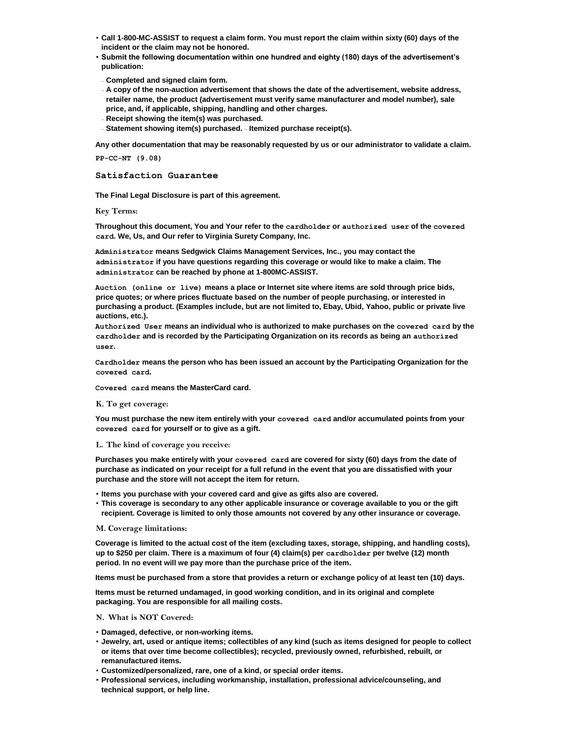- **Call 1-800-MC-ASSIST to request a claim form. You must report the claim within sixty (60) days of the incident or the claim may not be honored.**
- **Submit the following documentation within one hundred and eighty (180) days of the advertisement's publication:**
- **Completed and signed claim form.**
- **A copy of the non-auction advertisement that shows the date of the advertisement, website address, retailer name, the product (advertisement must verify same manufacturer and model number), sale price, and, if applicable, shipping, handling and other charges.**
- **Receipt showing the item(s) was purchased.**
- **Statement showing item(s) purchased. Itemized purchase receipt(s).**

**Any other documentation that may be reasonably requested by us or our administrator to validate a claim.** 

**PP-CC-NT (9.08)** 

**Satisfaction Guarantee** 

**The Final Legal Disclosure is part of this agreement.** 

**Key Terms:** 

**Throughout this document, You and Your refer to the cardholder or authorized user of the covered card. We, Us, and Our refer to Virginia Surety Company, Inc.** 

**Administrator means Sedgwick Claims Management Services, Inc., you may contact the administrator if you have questions regarding this coverage or would like to make a claim. The administrator can be reached by phone at 1-800MC-ASSIST.** 

**Auction (online or live) means a place or Internet site where items are sold through price bids, price quotes; or where prices fluctuate based on the number of people purchasing, or interested in purchasing a product. (Examples include, but are not limited to, Ebay, Ubid, Yahoo, public or private live auctions, etc.).** 

**Authorized User means an individual who is authorized to make purchases on the covered card by the cardholder and is recorded by the Participating Organization on its records as being an authorized user.** 

**Cardholder means the person who has been issued an account by the Participating Organization for the covered card.** 

**Covered card means the MasterCard card.** 

#### **K. To get coverage:**

**You must purchase the new item entirely with your covered card and/or accumulated points from your covered card for yourself or to give as a gift.** 

# **L. The kind of coverage you receive:**

**Purchases you make entirely with your covered card are covered for sixty (60) days from the date of purchase as indicated on your receipt for a full refund in the event that you are dissatisfied with your purchase and the store will not accept the item for return.** 

• **Items you purchase with your covered card and give as gifts also are covered.** 

• **This coverage is secondary to any other applicable insurance or coverage available to you or the gift recipient. Coverage is limited to only those amounts not covered by any other insurance or coverage.** 

# **M. Coverage limitations:**

**Coverage is limited to the actual cost of the item (excluding taxes, storage, shipping, and handling costs), up to \$250 per claim. There is a maximum of four (4) claim(s) per cardholder per twelve (12) month period. In no event will we pay more than the purchase price of the item.** 

**Items must be purchased from a store that provides a return or exchange policy of at least ten (10) days.** 

**Items must be returned undamaged, in good working condition, and in its original and complete packaging. You are responsible for all mailing costs.** 

# **N. What is NOT Covered:**

- **Damaged, defective, or non-working items.**
- **Jewelry, art, used or antique items; collectibles of any kind (such as items designed for people to collect or items that over time become collectibles); recycled, previously owned, refurbished, rebuilt, or remanufactured items.**
- **Customized/personalized, rare, one of a kind, or special order items.**
- **Professional services, including workmanship, installation, professional advice/counseling, and technical support, or help line.**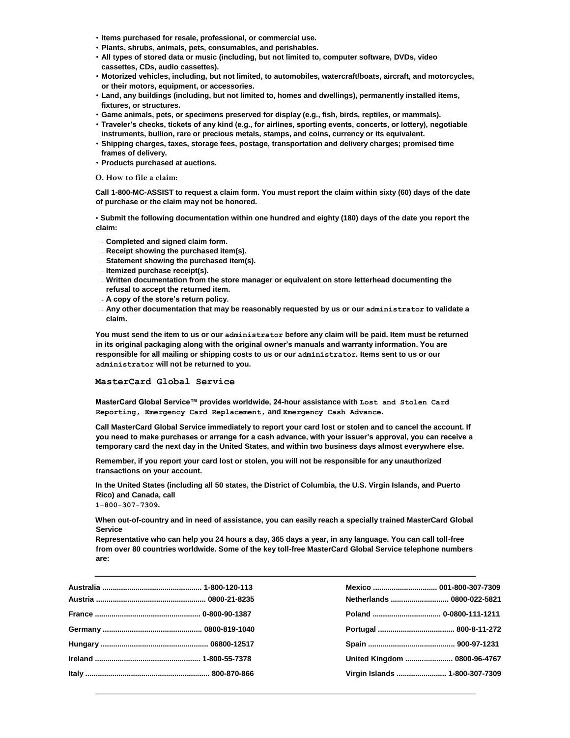- **Items purchased for resale, professional, or commercial use.**
- **Plants, shrubs, animals, pets, consumables, and perishables.**
- **All types of stored data or music (including, but not limited to, computer software, DVDs, video cassettes, CDs, audio cassettes).**
- **Motorized vehicles, including, but not limited, to automobiles, watercraft/boats, aircraft, and motorcycles, or their motors, equipment, or accessories.**
- **Land, any buildings (including, but not limited to, homes and dwellings), permanently installed items, fixtures, or structures.**
- **Game animals, pets, or specimens preserved for display (e.g., fish, birds, reptiles, or mammals).**
- **Traveler's checks, tickets of any kind (e.g., for airlines, sporting events, concerts, or lottery), negotiable instruments, bullion, rare or precious metals, stamps, and coins, currency or its equivalent.**
- **Shipping charges, taxes, storage fees, postage, transportation and delivery charges; promised time frames of delivery.**
- **Products purchased at auctions.**

### **O. How to file a claim:**

**Call 1-800-MC-ASSIST to request a claim form. You must report the claim within sixty (60) days of the date of purchase or the claim may not be honored.** 

• **Submit the following documentation within one hundred and eighty (180) days of the date you report the claim:** 

- **Completed and signed claim form.**
- **Receipt showing the purchased item(s).**
- **Statement showing the purchased item(s).**
- **Itemized purchase receipt(s).**
- **Written documentation from the store manager or equivalent on store letterhead documenting the refusal to accept the returned item.**
- **A copy of the store's return policy.**
- **Any other documentation that may be reasonably requested by us or our administrator to validate a claim.**

**You must send the item to us or our administrator before any claim will be paid. Item must be returned in its original packaging along with the original owner's manuals and warranty information. You are responsible for all mailing or shipping costs to us or our administrator. Items sent to us or our administrator will not be returned to you.**

#### **MasterCard Global Service**

**MasterCard Global Service™ provides worldwide, 24-hour assistance with Lost and Stolen Card Reporting, Emergency Card Replacement, and Emergency Cash Advance.** 

**Call MasterCard Global Service immediately to report your card lost or stolen and to cancel the account. If you need to make purchases or arrange for a cash advance, with your issuer's approval, you can receive a temporary card the next day in the United States, and within two business days almost everywhere else.** 

**Remember, if you report your card lost or stolen, you will not be responsible for any unauthorized transactions on your account.** 

**In the United States (including all 50 states, the District of Columbia, the U.S. Virgin Islands, and Puerto Rico) and Canada, call** 

**1-800-307-7309.** 

**When out-of-country and in need of assistance, you can easily reach a specially trained MasterCard Global Service** 

**Representative who can help you 24 hours a day, 365 days a year, in any language. You can call toll-free from over 80 countries worldwide. Some of the key toll-free MasterCard Global Service telephone numbers are:** 

|  | Netherlands  0800-022-5821     |  |
|--|--------------------------------|--|
|  |                                |  |
|  |                                |  |
|  |                                |  |
|  | United Kingdom  0800-96-4767   |  |
|  | Virgin Islands  1-800-307-7309 |  |
|  |                                |  |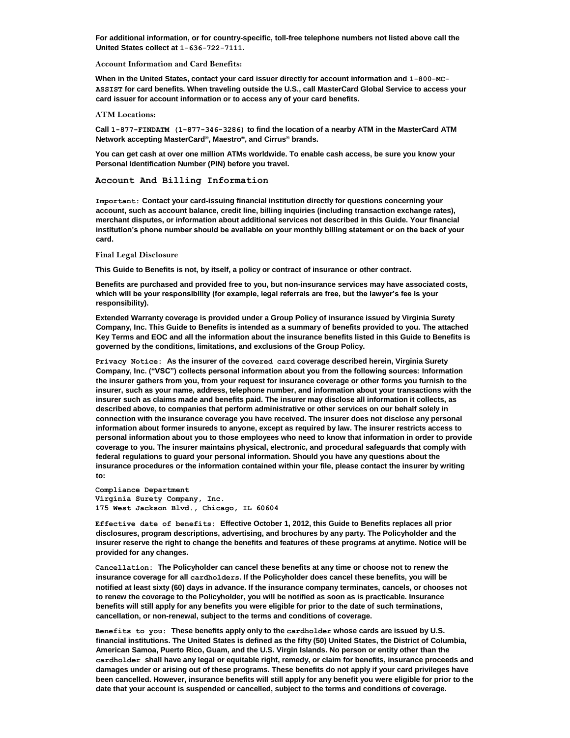**For additional information, or for country-specific, toll-free telephone numbers not listed above call the United States collect at 1-636-722-7111.** 

**Account Information and Card Benefits:** 

**When in the United States, contact your card issuer directly for account information and 1-800-MC-ASSIST for card benefits. When traveling outside the U.S., call MasterCard Global Service to access your card issuer for account information or to access any of your card benefits.** 

#### **ATM Locations:**

**Call 1-877-FINDATM (1-877-346-3286) to find the location of a nearby ATM in the MasterCard ATM Network accepting MasterCard® , Maestro® , and Cirrus® brands.** 

**You can get cash at over one million ATMs worldwide. To enable cash access, be sure you know your Personal Identification Number (PIN) before you travel.** 

**Account And Billing Information** 

**Important: Contact your card-issuing financial institution directly for questions concerning your account, such as account balance, credit line, billing inquiries (including transaction exchange rates), merchant disputes, or information about additional services not described in this Guide. Your financial institution's phone number should be available on your monthly billing statement or on the back of your card.**

**Final Legal Disclosure** 

**This Guide to Benefits is not, by itself, a policy or contract of insurance or other contract.** 

**Benefits are purchased and provided free to you, but non-insurance services may have associated costs, which will be your responsibility (for example, legal referrals are free, but the lawyer's fee is your responsibility).** 

**Extended Warranty coverage is provided under a Group Policy of insurance issued by Virginia Surety Company, Inc. This Guide to Benefits is intended as a summary of benefits provided to you. The attached Key Terms and EOC and all the information about the insurance benefits listed in this Guide to Benefits is governed by the conditions, limitations, and exclusions of the Group Policy.** 

**Privacy Notice: As the insurer of the covered card coverage described herein, Virginia Surety Company, Inc. ("VSC") collects personal information about you from the following sources: Information the insurer gathers from you, from your request for insurance coverage or other forms you furnish to the insurer, such as your name, address, telephone number, and information about your transactions with the insurer such as claims made and benefits paid. The insurer may disclose all information it collects, as described above, to companies that perform administrative or other services on our behalf solely in connection with the insurance coverage you have received. The insurer does not disclose any personal information about former insureds to anyone, except as required by law. The insurer restricts access to personal information about you to those employees who need to know that information in order to provide coverage to you. The insurer maintains physical, electronic, and procedural safeguards that comply with federal regulations to guard your personal information. Should you have any questions about the insurance procedures or the information contained within your file, please contact the insurer by writing to:** 

**Compliance Department Virginia Surety Company, Inc. 175 West Jackson Blvd., Chicago, IL 60604** 

**Effective date of benefits: Effective October 1, 2012, this Guide to Benefits replaces all prior disclosures, program descriptions, advertising, and brochures by any party. The Policyholder and the insurer reserve the right to change the benefits and features of these programs at anytime. Notice will be provided for any changes.** 

**Cancellation: The Policyholder can cancel these benefits at any time or choose not to renew the insurance coverage for all cardholders. If the Policyholder does cancel these benefits, you will be notified at least sixty (60) days in advance. If the insurance company terminates, cancels, or chooses not to renew the coverage to the Policyholder, you will be notified as soon as is practicable. Insurance benefits will still apply for any benefits you were eligible for prior to the date of such terminations, cancellation, or non-renewal, subject to the terms and conditions of coverage.** 

**Benefits to you: These benefits apply only to the cardholder whose cards are issued by U.S. financial institutions. The United States is defined as the fifty (50) United States, the District of Columbia, American Samoa, Puerto Rico, Guam, and the U.S. Virgin Islands. No person or entity other than the cardholder shall have any legal or equitable right, remedy, or claim for benefits, insurance proceeds and damages under or arising out of these programs. These benefits do not apply if your card privileges have been cancelled. However, insurance benefits will still apply for any benefit you were eligible for prior to the date that your account is suspended or cancelled, subject to the terms and conditions of coverage.**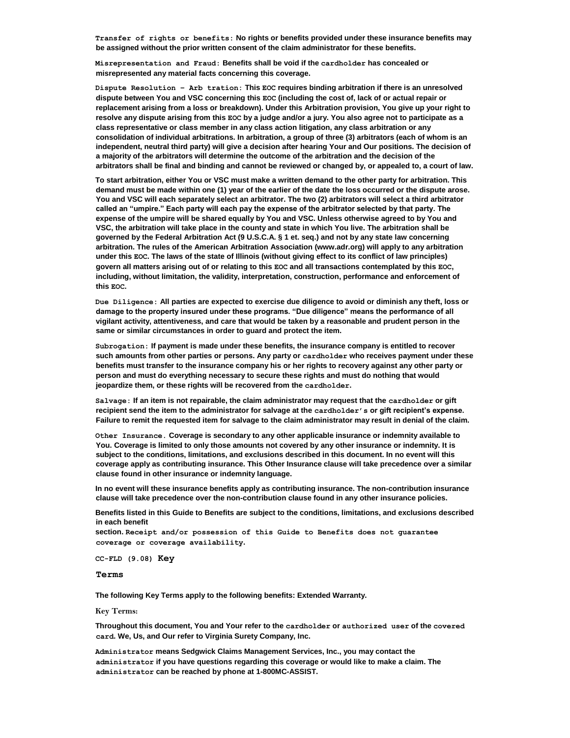**Transfer of rights or benefits: No rights or benefits provided under these insurance benefits may be assigned without the prior written consent of the claim administrator for these benefits.** 

**Misrepresentation and Fraud: Benefits shall be void if the cardholder has concealed or misrepresented any material facts concerning this coverage.** 

**Dispute Resolution – Arb tration: This EOC requires binding arbitration if there is an unresolved dispute between You and VSC concerning this EOC (including the cost of, lack of or actual repair or replacement arising from a loss or breakdown). Under this Arbitration provision, You give up your right to resolve any dispute arising from this EOC by a judge and/or a jury. You also agree not to participate as a class representative or class member in any class action litigation, any class arbitration or any consolidation of individual arbitrations. In arbitration, a group of three (3) arbitrators (each of whom is an independent, neutral third party) will give a decision after hearing Your and Our positions. The decision of a majority of the arbitrators will determine the outcome of the arbitration and the decision of the arbitrators shall be final and binding and cannot be reviewed or changed by, or appealed to, a court of law.** 

**To start arbitration, either You or VSC must make a written demand to the other party for arbitration. This demand must be made within one (1) year of the earlier of the date the loss occurred or the dispute arose. You and VSC will each separately select an arbitrator. The two (2) arbitrators will select a third arbitrator called an "umpire." Each party will each pay the expense of the arbitrator selected by that party. The expense of the umpire will be shared equally by You and VSC. Unless otherwise agreed to by You and VSC, the arbitration will take place in the county and state in which You live. The arbitration shall be governed by the Federal Arbitration Act (9 U.S.C.A. § 1 et. seq.) and not by any state law concerning arbitration. The rules of the American Arbitration Association (www.adr.org) will apply to any arbitration under this EOC. The laws of the state of Illinois (without giving effect to its conflict of law principles) govern all matters arising out of or relating to this EOC and all transactions contemplated by this EOC, including, without limitation, the validity, interpretation, construction, performance and enforcement of this EOC.** 

**Due Diligence: All parties are expected to exercise due diligence to avoid or diminish any theft, loss or damage to the property insured under these programs. "Due diligence" means the performance of all vigilant activity, attentiveness, and care that would be taken by a reasonable and prudent person in the same or similar circumstances in order to guard and protect the item.** 

**Subrogation: If payment is made under these benefits, the insurance company is entitled to recover such amounts from other parties or persons. Any party or cardholder who receives payment under these benefits must transfer to the insurance company his or her rights to recovery against any other party or person and must do everything necessary to secure these rights and must do nothing that would jeopardize them, or these rights will be recovered from the cardholder.** 

**Salvage: If an item is not repairable, the claim administrator may request that the cardholder or gift recipient send the item to the administrator for salvage at the cardholder's or gift recipient's expense. Failure to remit the requested item for salvage to the claim administrator may result in denial of the claim.** 

**Other Insurance. Coverage is secondary to any other applicable insurance or indemnity available to You. Coverage is limited to only those amounts not covered by any other insurance or indemnity. It is subject to the conditions, limitations, and exclusions described in this document. In no event will this coverage apply as contributing insurance. This Other Insurance clause will take precedence over a similar clause found in other insurance or indemnity language.** 

**In no event will these insurance benefits apply as contributing insurance. The non-contribution insurance clause will take precedence over the non-contribution clause found in any other insurance policies.** 

**Benefits listed in this Guide to Benefits are subject to the conditions, limitations, and exclusions described in each benefit** 

**section. Receipt and/or possession of this Guide to Benefits does not guarantee coverage or coverage availability.** 

**CC-FLD (9.08) Key** 

**Terms** 

**The following Key Terms apply to the following benefits: Extended Warranty.** 

**Key Terms:** 

**Throughout this document, You and Your refer to the cardholder or authorized user of the covered card. We, Us, and Our refer to Virginia Surety Company, Inc.** 

**Administrator means Sedgwick Claims Management Services, Inc., you may contact the administrator if you have questions regarding this coverage or would like to make a claim. The administrator can be reached by phone at 1-800MC-ASSIST.**